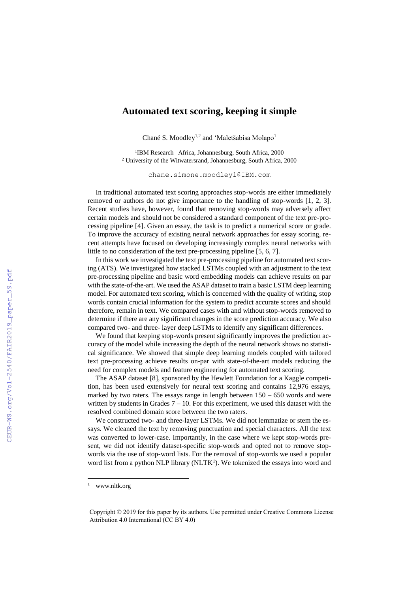## **Automated text scoring, keeping it simple**

Chané S. Moodley<sup>1,2</sup> and 'Maletšabisa Molapo<sup>1</sup>

<sup>1</sup>IBM Research | Africa, Johannesburg, South Africa, 2000 <sup>2</sup> University of the Witwatersrand, Johannesburg, South Africa, 2000

chane.simone.moodley1@IBM.com

In traditional automated text scoring approaches stop-words are either immediately removed or authors do not give importance to the handling of stop-words [1, 2, 3]. Recent studies have, however, found that removing stop-words may adversely affect certain models and should not be considered a standard component of the text pre-processing pipeline [4]. Given an essay, the task is to predict a numerical score or grade. To improve the accuracy of existing neural network approaches for essay scoring, recent attempts have focused on developing increasingly complex neural networks with little to no consideration of the text pre-processing pipeline [5, 6, 7].

In this work we investigated the text pre-processing pipeline for automated text scoring (ATS). We investigated how stacked LSTMs coupled with an adjustment to the text pre-processing pipeline and basic word embedding models can achieve results on par with the state-of-the-art. We used the ASAP dataset to train a basic LSTM deep learning model. For automated text scoring, which is concerned with the quality of writing, stop words contain crucial information for the system to predict accurate scores and should therefore, remain in text. We compared cases with and without stop-words removed to determine if there are any significant changes in the score prediction accuracy. We also compared two- and three- layer deep LSTMs to identify any significant differences.

We found that keeping stop-words present significantly improves the prediction accuracy of the model while increasing the depth of the neural network shows no statistical significance. We showed that simple deep learning models coupled with tailored text pre-processing achieve results on-par with state-of-the-art models reducing the need for complex models and feature engineering for automated text scoring.

The ASAP dataset [8], sponsored by the Hewlett Foundation for a Kaggle competition, has been used extensively for neural text scoring and contains 12,976 essays, marked by two raters. The essays range in length between  $150 - 650$  words and were written by students in Grades  $7 - 10$ . For this experiment, we used this dataset with the resolved combined domain score between the two raters.

We constructed two- and three-layer LSTMs. We did not lemmatize or stem the essays. We cleaned the text by removing punctuation and special characters. All the text was converted to lower-case. Importantly, in the case where we kept stop-words present, we did not identify dataset-specific stop-words and opted not to remove stopwords via the use of stop-word lists. For the removal of stop-words we used a popular word list from a python NLP library (NLTK<sup>1</sup>). We tokenized the essays into word and

<sup>1</sup> www.nltk.org

Copyright © 2019 for this paper by its authors. Use permitted under Creative Commons License Attribution 4.0 International (CC BY 4.0)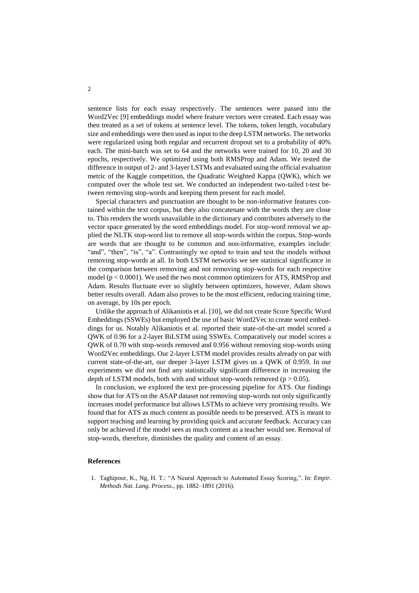sentence lists for each essay respectively. The sentences were passed into the Word2Vec [9] embeddings model where feature vectors were created. Each essay was then treated as a set of tokens at sentence level. The tokens, token length, vocabulary size and embeddings were then used as input to the deep LSTM networks. The networks were regularized using both regular and recurrent dropout set to a probability of 40% each. The mini-batch was set to 64 and the networks were trained for 10, 20 and 30 epochs, respectively. We optimized using both RMSProp and Adam. We tested the difference in output of 2- and 3-layer LSTMs and evaluated using the official evaluation metric of the Kaggle competition, the Quadratic Weighted Kappa (QWK), which we computed over the whole test set. We conducted an independent two-tailed t-test between removing stop-words and keeping them present for each model.

Special characters and punctuation are thought to be non-informative features contained within the text corpus, but they also concatenate with the words they are close to. This renders the words unavailable in the dictionary and contributes adversely to the vector space generated by the word embeddings model. For stop-word removal we applied the NLTK stop-word list to remove all stop-words within the corpus. Stop-words are words that are thought to be common and non-informative, examples include: "and", "then", "is", "a". Contrastingly we opted to train and test the models without removing stop-words at all. In both LSTM networks we see statistical significance in the comparison between removing and not removing stop-words for each respective model ( $p < 0.0001$ ). We used the two most common optimizers for ATS, RMSProp and Adam. Results fluctuate ever so slightly between optimizers, however, Adam shows better results overall. Adam also proves to be the most efficient, reducing training time, on average, by 10s per epoch.

Unlike the approach of Alikaniotis et al. [10], we did not create Score Specific Word Embeddings (SSWEs) but employed the use of basic Word2Vec to create word embeddings for us. Notably Alikaniotis et al. reported their state-of-the-art model scored a QWK of 0.96 for a 2-layer BiLSTM using SSWEs. Comparatively our model scores a QWK of 0.70 with stop-words removed and 0.956 without removing stop-words using Word2Vec embeddings. Our 2-layer LSTM model provides results already on par with current state-of-the-art, our deeper 3-layer LSTM gives us a QWK of 0.959. In our experiments we did not find any statistically significant difference in increasing the depth of LSTM models, both with and without stop-words removed ( $p > 0.05$ ).

In conclusion, we explored the text pre-processing pipeline for ATS. Our findings show that for ATS on the ASAP dataset not removing stop-words not only significantly increases model performance but allows LSTMs to achieve very promising results. We found that for ATS as much content as possible needs to be preserved. ATS is meant to support teaching and learning by providing quick and accurate feedback. Accuracy can only be achieved if the model sees as much content as a teacher would see. Removal of stop-words, therefore, diminishes the quality and content of an essay.

## **References**

1. Taghipour, K., Ng, H. T.: "A Neural Approach to Automated Essay Scoring,". In: *Empir. Methods Nat. Lang. Process.*, pp. 1882–1891 (2016).